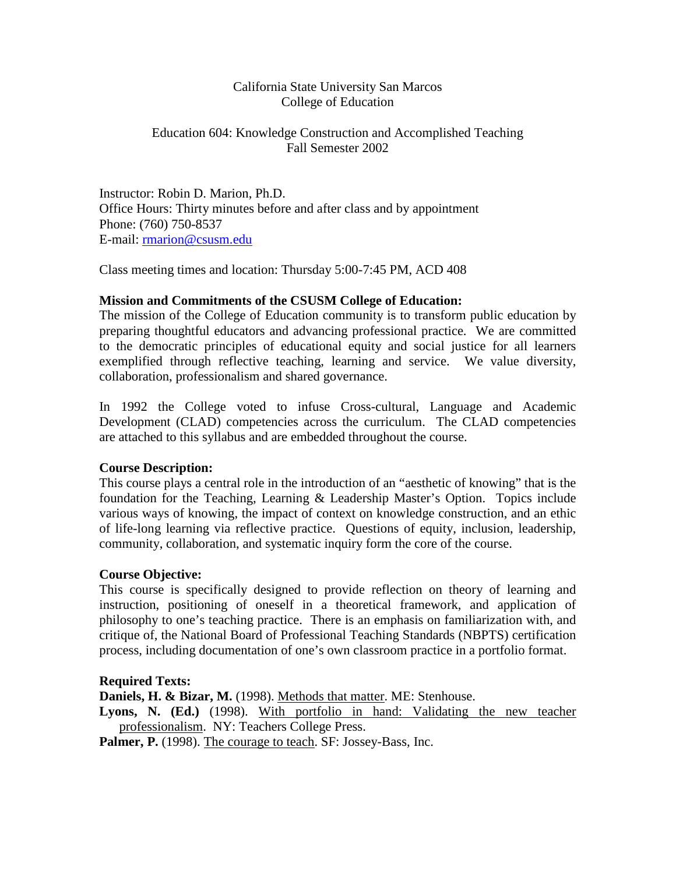# California State University San Marcos College of Education

## Education 604: Knowledge Construction and Accomplished Teaching Fall Semester 2002

Instructor: Robin D. Marion, Ph.D. Office Hours: Thirty minutes before and after class and by appointment Phone: (760) 750-8537 E-mail: [rmarion@csusm.edu](mailto:rmarion@csusm.edu)

Class meeting times and location: Thursday 5:00-7:45 PM, ACD 408

# **Mission and Commitments of the CSUSM College of Education:**

The mission of the College of Education community is to transform public education by preparing thoughtful educators and advancing professional practice. We are committed to the democratic principles of educational equity and social justice for all learners exemplified through reflective teaching, learning and service. We value diversity, collaboration, professionalism and shared governance.

In 1992 the College voted to infuse Cross-cultural, Language and Academic Development (CLAD) competencies across the curriculum. The CLAD competencies are attached to this syllabus and are embedded throughout the course.

# **Course Description:**

This course plays a central role in the introduction of an "aesthetic of knowing" that is the foundation for the Teaching, Learning & Leadership Master's Option. Topics include various ways of knowing, the impact of context on knowledge construction, and an ethic of life-long learning via reflective practice. Questions of equity, inclusion, leadership, community, collaboration, and systematic inquiry form the core of the course.

# **Course Objective:**

This course is specifically designed to provide reflection on theory of learning and instruction, positioning of oneself in a theoretical framework, and application of philosophy to one's teaching practice. There is an emphasis on familiarization with, and critique of, the National Board of Professional Teaching Standards (NBPTS) certification process, including documentation of one's own classroom practice in a portfolio format.

## **Required Texts:**

**Daniels, H. & Bizar, M.** (1998). Methods that matter. ME: Stenhouse.

**Lyons, N. (Ed.)** (1998). With portfolio in hand: Validating the new teacher professionalism. NY: Teachers College Press.

Palmer, P. (1998). The courage to teach. SF: Jossey-Bass, Inc.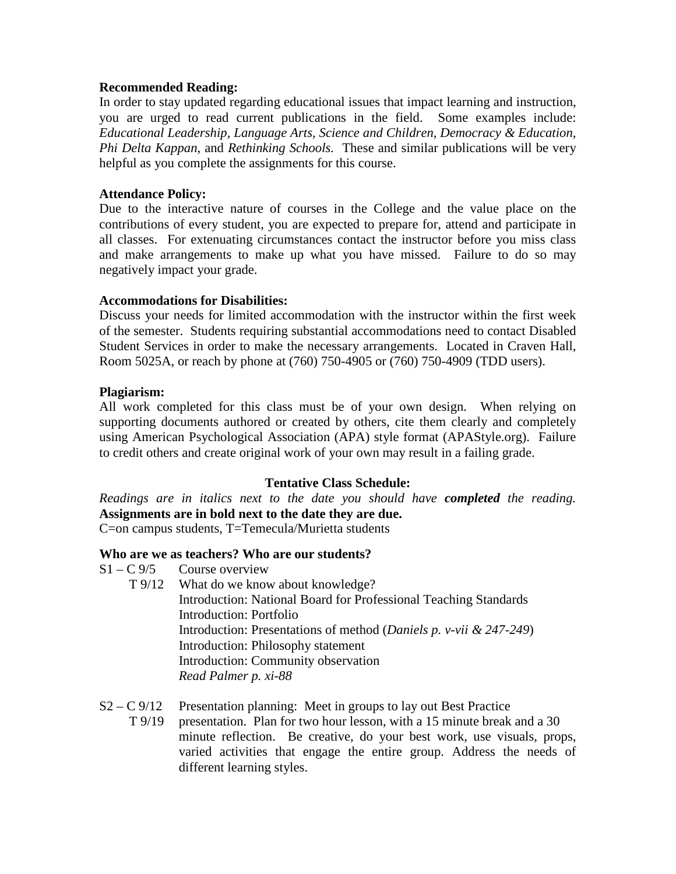### **Recommended Reading:**

In order to stay updated regarding educational issues that impact learning and instruction, you are urged to read current publications in the field. Some examples include: *Educational Leadership, Language Arts, Science and Children, Democracy & Education, Phi Delta Kappan,* and *Rethinking Schools.* These and similar publications will be very helpful as you complete the assignments for this course.

### **Attendance Policy:**

Due to the interactive nature of courses in the College and the value place on the contributions of every student, you are expected to prepare for, attend and participate in all classes. For extenuating circumstances contact the instructor before you miss class and make arrangements to make up what you have missed. Failure to do so may negatively impact your grade.

#### **Accommodations for Disabilities:**

Discuss your needs for limited accommodation with the instructor within the first week of the semester. Students requiring substantial accommodations need to contact Disabled Student Services in order to make the necessary arrangements. Located in Craven Hall, Room 5025A, or reach by phone at (760) 750-4905 or (760) 750-4909 (TDD users).

#### **Plagiarism:**

All work completed for this class must be of your own design. When relying on supporting documents authored or created by others, cite them clearly and completely using American Psychological Association (APA) style format (APAStyle.org). Failure to credit others and create original work of your own may result in a failing grade.

## **Tentative Class Schedule:**

*Readings are in italics next to the date you should have completed the reading.*  **Assignments are in bold next to the date they are due.**

C=on campus students, T=Temecula/Murietta students

#### **Who are we as teachers? Who are our students?**

- $S1 C$  9/5 Course overview
	- T 9/12 What do we know about knowledge? Introduction: National Board for Professional Teaching Standards Introduction: Portfolio Introduction: Presentations of method (*Daniels p. v-vii & 247-249*) Introduction: Philosophy statement Introduction: Community observation *Read Palmer p. xi-88*
- $S2 C$  9/12 Presentation planning: Meet in groups to lay out Best Practice T 9/19 presentation. Plan for two hour lesson, with a 15 minute break and a 30 minute reflection. Be creative, do your best work, use visuals, props, varied activities that engage the entire group. Address the needs of different learning styles.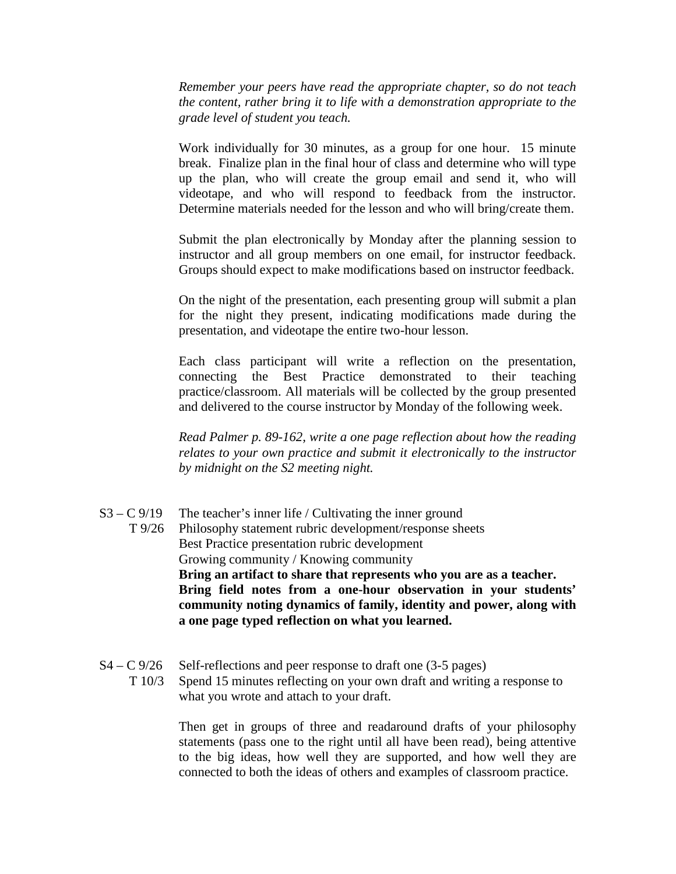*Remember your peers have read the appropriate chapter, so do not teach the content, rather bring it to life with a demonstration appropriate to the grade level of student you teach.*

Work individually for 30 minutes, as a group for one hour. 15 minute break. Finalize plan in the final hour of class and determine who will type up the plan, who will create the group email and send it, who will videotape, and who will respond to feedback from the instructor. Determine materials needed for the lesson and who will bring/create them.

Submit the plan electronically by Monday after the planning session to instructor and all group members on one email, for instructor feedback. Groups should expect to make modifications based on instructor feedback.

On the night of the presentation, each presenting group will submit a plan for the night they present, indicating modifications made during the presentation, and videotape the entire two-hour lesson.

Each class participant will write a reflection on the presentation, connecting the Best Practice demonstrated to their teaching practice/classroom. All materials will be collected by the group presented and delivered to the course instructor by Monday of the following week.

*Read Palmer p. 89-162, write a one page reflection about how the reading relates to your own practice and submit it electronically to the instructor by midnight on the S2 meeting night.*

- $S3 C$  9/19 The teacher's inner life / Cultivating the inner ground T 9/26 Philosophy statement rubric development/response sheets Best Practice presentation rubric development Growing community / Knowing community **Bring an artifact to share that represents who you are as a teacher. Bring field notes from a one-hour observation in your students' community noting dynamics of family, identity and power, along with a one page typed reflection on what you learned.**
- $S4 C\frac{9}{26}$  Self-reflections and peer response to draft one (3-5 pages) T 10/3 Spend 15 minutes reflecting on your own draft and writing a response to what you wrote and attach to your draft.

Then get in groups of three and readaround drafts of your philosophy statements (pass one to the right until all have been read), being attentive to the big ideas, how well they are supported, and how well they are connected to both the ideas of others and examples of classroom practice.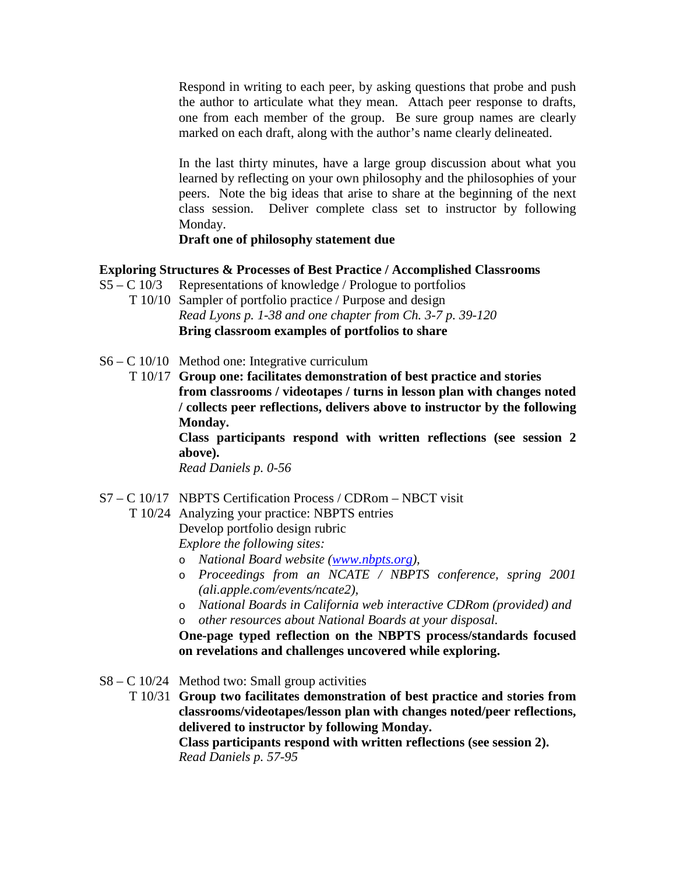Respond in writing to each peer, by asking questions that probe and push the author to articulate what they mean. Attach peer response to drafts, one from each member of the group. Be sure group names are clearly marked on each draft, along with the author's name clearly delineated.

In the last thirty minutes, have a large group discussion about what you learned by reflecting on your own philosophy and the philosophies of your peers. Note the big ideas that arise to share at the beginning of the next class session. Deliver complete class set to instructor by following Monday.

# **Draft one of philosophy statement due**

## **Exploring Structures & Processes of Best Practice / Accomplished Classrooms**

- $S5 C$  10/3 Representations of knowledge / Prologue to portfolios
	- T 10/10 Sampler of portfolio practice / Purpose and design *Read Lyons p. 1-38 and one chapter from Ch. 3-7 p. 39-120* **Bring classroom examples of portfolios to share**
- S6 C 10/10 Method one: Integrative curriculum
	- T 10/17 **Group one: facilitates demonstration of best practice and stories from classrooms / videotapes / turns in lesson plan with changes noted / collects peer reflections, delivers above to instructor by the following Monday.**

**Class participants respond with written reflections (see session 2 above).**

*Read Daniels p. 0-56* 

- S7 C 10/17 NBPTS Certification Process / CDRom NBCT visit
	- T 10/24 Analyzing your practice: NBPTS entries

Develop portfolio design rubric

*Explore the following sites:* 

- o *National Board website [\(www.nbpts.org\)](http://www.nbpts.org/),*
- o *Proceedings from an NCATE / NBPTS conference, spring 2001 (ali.apple.com/events/ncate2),*
- o *National Boards in California web interactive CDRom (provided) and*  o *other resources about National Boards at your disposal.*

**One-page typed reflection on the NBPTS process/standards focused on revelations and challenges uncovered while exploring.**

 $S8 - C$  10/24 Method two: Small group activities

T 10/31 **Group two facilitates demonstration of best practice and stories from classrooms/videotapes/lesson plan with changes noted/peer reflections, delivered to instructor by following Monday.**

**Class participants respond with written reflections (see session 2).** *Read Daniels p. 57-95*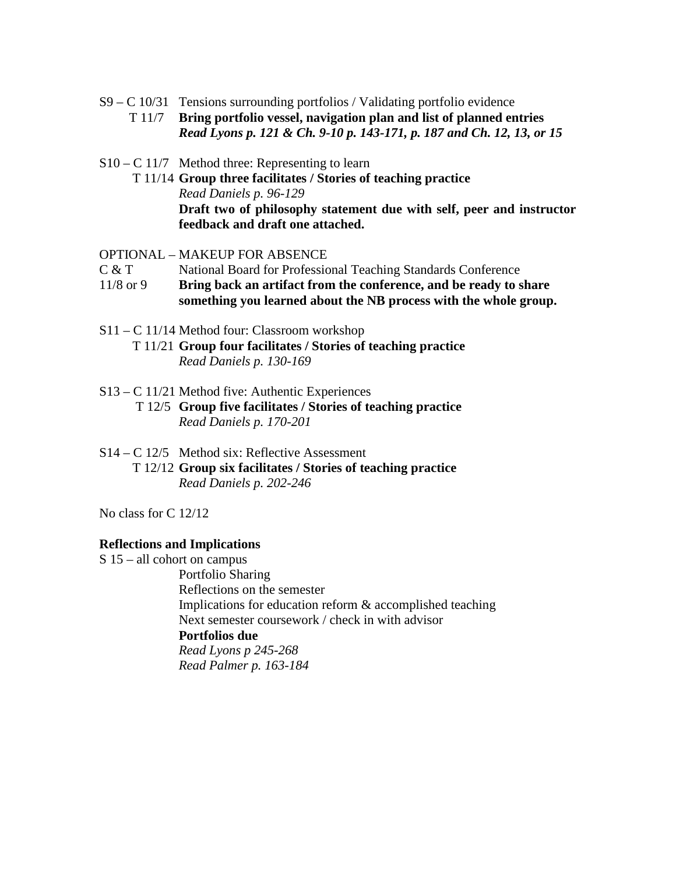- S9 C 10/31 Tensions surrounding portfolios / Validating portfolio evidence T 11/7 **Bring portfolio vessel, navigation plan and list of planned entries** *Read Lyons p. 121 & Ch. 9-10 p. 143-171, p. 187 and Ch. 12, 13, or 15*
- S10 C 11/7 Method three: Representing to learn
	- T 11/14 **Group three facilitates / Stories of teaching practice** *Read Daniels p. 96-129* **Draft two of philosophy statement due with self, peer and instructor feedback and draft one attached.**

OPTIONAL – MAKEUP FOR ABSENCE

- C & T National Board for Professional Teaching Standards Conference
- 11/8 or 9 **Bring back an artifact from the conference, and be ready to share something you learned about the NB process with the whole group.**
- S11 C 11/14 Method four: Classroom workshop T 11/21 **Group four facilitates / Stories of teaching practice** *Read Daniels p. 130-169*
- S13 C 11/21 Method five: Authentic Experiences T 12/5 **Group five facilitates / Stories of teaching practice** *Read Daniels p. 170-201*
- S14 C 12/5 Method six: Reflective Assessment T 12/12 **Group six facilitates / Stories of teaching practice** *Read Daniels p. 202-246*

No class for C 12/12

#### **Reflections and Implications**

S 15 – all cohort on campus Portfolio Sharing Reflections on the semester Implications for education reform & accomplished teaching Next semester coursework / check in with advisor **Portfolios due** *Read Lyons p 245-268 Read Palmer p. 163-184*